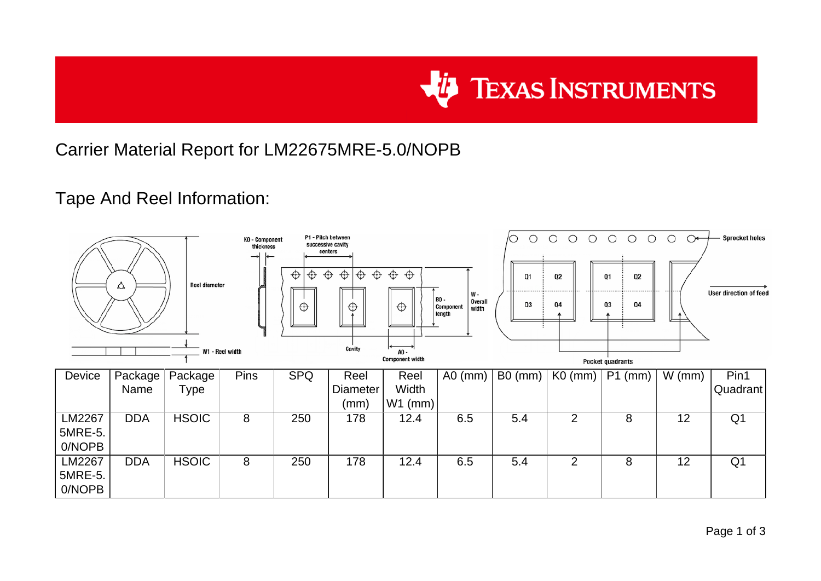

## Carrier Material Report for LM22675MRE-5.0/NOPB

## Tape And Reel Information:

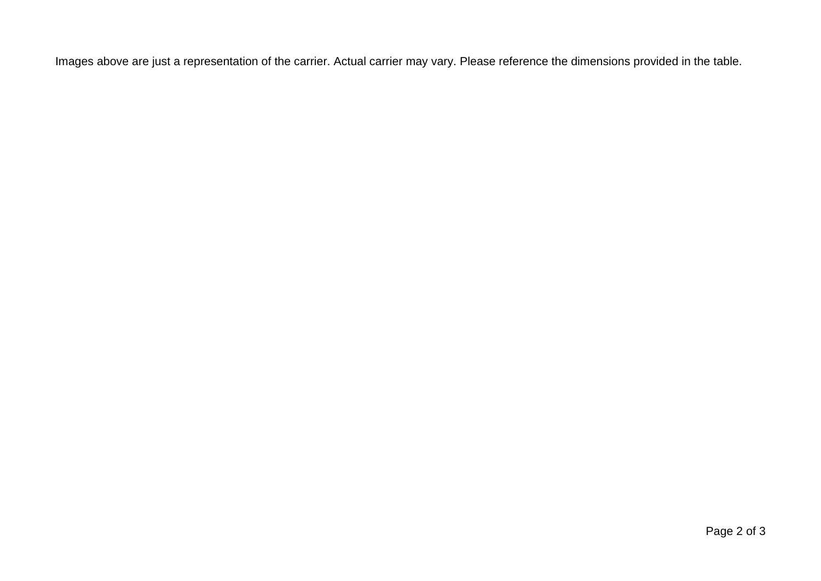Images above are just a representation of the carrier. Actual carrier may vary. Please reference the dimensions provided in the table.